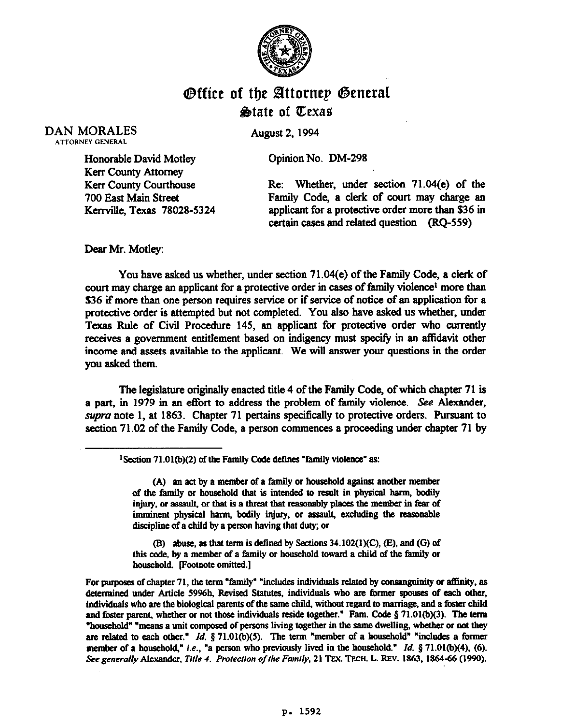

## **Office of the Attorney General** State of Texas

DAN MORALES

**August 2, 1994** 

Opinion No. DM-298

Honorable David Motley Kerr County Attorney Kerr County Courthouse 700 East Main Street Kerrville, Texas 78028-5324

Re: Whether, under section 71.04(e) of the Family Code, a clerk of court may charge an applicant for a protective order more than \$36 in certain cases and related question (RQ-559)

Dear Mr. Motley:

You have asked us whether, under section 71.04(e) of the Family Code, a clerk of court may charge an applicant for a protective order in cases of family violence<sup>t</sup> more than \$36 if more than one person requires service or if service of notice of an application for a protective order is attempted but not completed. You also have asked us whether, under Texas Rule of Civil Procedure 145, an applicant for protective order who currently receives a government entitlement based on indigency must specify in an aflidavit other income and assets available to the applicant. We will answer your questions in the order you asked them.

The legislature originally enacted title 4 of the Family Code, of which chapter 71 is a part, in 1979 in an effort to address the problem of family violence. See Alexander, supra note 1, at 1863. Chapter 71 pertains specifically to protective orders. Pursuant to section 71.02 of the Family Code, a person commences a proceeding under chapter 71 by

<sup>1</sup> Section 71.01(b)(2) of the Family Code defines "family violence" as:

(A) an act by a member of a family or household against another member of the family or household that is intended to result in physical harm, bodily injury, or assault, or that is a threat that reasonably places the member in fear of imminent physical harm, bodily injury, or assault, excluding the reasonable discipline of a child by a person having that duty; or

(B) abuse, as that term is defined by Sections 34.102(1)(C), (E), and (G) of this code, by a member of a family or household toward a child of the family or **household. Footnote omitted.]** 

For purposes of chapter 71, the term "family" "includes individuals related by consanguinity or affinity, as determined under Article 5996h, Revised Statutes, individuals who are former spouses of each other, individuals who are the biological parents of the same child, without regard to marriage, and a foster child and foster parent, whether or not those individuals reside together." Fam. Code § 71.01(b)(3). The term "household" "means a unit composed of persons living together in the same dwelling, whether or not they are related to each other." *Id.* § 71.01(b)(5). The term "member of a household" "includes a former **member of a household," i.e., "a person who previously lived in the household."** *Id.* **§ 71.01(b)(4), (6).** See generally Alexander, Title 4. Protection of the Family, 21 TEX. TECH. L. REV. 1863, 1864-66 (1990).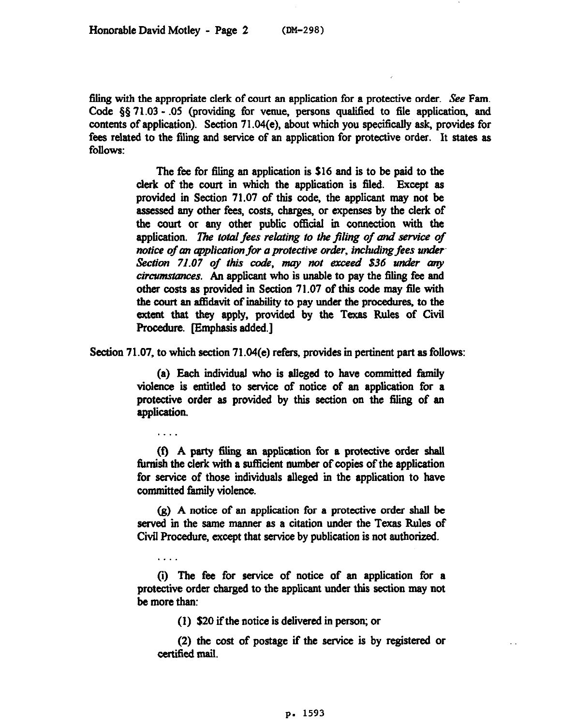filing with the appropriate clerk of court an application for a protective order. See Fam. Code §§ 71.03 - .05 (providing for venue, persons qualified to file application, and contents of application). Section 71.04(e), about which you specifically ask, provides for fees related to the filing and service of an application for protective order. It states as follows:

> The fee for filing an application is \$16 and is to be paid to the clerk of the court in which the application is filed. Except as provided in Section 71.07 of this code, the applicant may not be assessed any other fees, costs, charges, or expenses by the clerk of the court or any other public official in connection with the application. The total fees relating to the filing of and service of *notice of an application for a protective order, including fees under* Section 71.07 of this code, may not exceed \$36 under any *ciramstunces.* An applicant who is unable to pay the filing fee and other costs as provided in Section 71.07 of this code may file with the court an affidavit of inability to pay under the procedures, to the extent that they apply, provided by the Texas Rules of Civil Procedure. [Emphasis added.]

Section 71.07, to which section 71.04(e) refers, provides in pertinent part as follows:

(a) Each individual who is alleged to have committed family violence is entitled to service of notice of an application for a protective order as provided by this section on the filing of an application.

. . . .

. . . .

(f) A party 5ing an application for a protective order shall furnish the clerk with a sufficient number of copies of the application for service of those individuals alleged in the application to have committed family violence.

(g) A notice of an application for a protective order shall be served in the same manner as a citation under the Texas Rules of Civil Procedure, except that service by publication is not authorized.

(i) The fee for service of notice of an application for a protective order charged to the applicant under this section may not be more than:

 $(1)$  \$20 if the notice is delivered in person; or

(2) the cost of postage if the service is by registered or certified mail.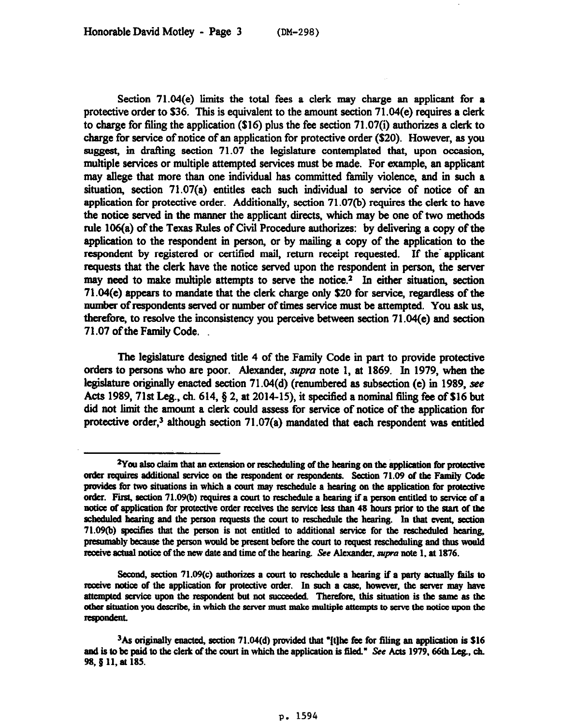Section 71.04(e) limits the total fees a clerk may charge an applicant for a protective order to \$36. This is equivalent to the amount section 71.04(e) requires a clerk to charge for filing the application (\$16) plus the fee section 71.07(i) authorizes a clerk to charge for service of notice of an application for protective order (\$20). However, as you suggest, in drafting section 71.07 the legislature contemplated that, upon occasion, multiple services or multiple attempted services must be made. For example, an applicant may allege that more than one individual has committed family violence, and in such a situation, section 71.07(a) entitles each such individual to service of notice of an application for protective order. Additionally, section 71.07(b) requires the clerk to have the notice served in the manner the applicant directs, which may be one of two methods rule  $106(a)$  of the Texas Rules of Civil Procedure authorizes: by delivering a copy of the application to the respondent in person, or by mailing a copy of the application to the respondent by registered or certified mail, return receipt requested. If the applicant requests that the clerk have the notice served upon the respondent in person, the server may need to make multiple attempts to serve the notice.<sup>2</sup> In either situation, section 71.04(e) appears to mandate that the clerk charge only S20 for service, regardless of the number of respondents served or number of times service must be attempted. You ask us, therefore, to resolve the inconsistency you perceive between section 71.04(e) and section 71.07 of the Family Code.

The legislature designed title 4 of the Family Code in part to provide protective orders to persons who are poor. Alexander, *supra* note 1, at 1869. In 1979, when the legislature originally enacted section 71.04(d) (renumbered as subsection (e) in 1989, see Acts 1989, 71st Leg., ch.  $614$ ,  $\S$  2, at 2014-15), it specified a nominal filing fee of \$16 but did not limit the amount a clerk could assess for service of notice of the application for protective order,<sup>3</sup> although section  $71.07(a)$  mandated that each respondent was entitled

<sup>&</sup>lt;sup>2</sup>You also claim that an extension or rescheduling of the hearing on the application for protective order requires additional service on the respondent or respondents. Section 71.09 of the Family Code provides for two situations in which a court may reschedule a hearing on the application for protective order. First, section 71.09(b) requires a court to reschedule a hearing if a person entitled to service of a notice of application for protective order receives the service less than 48 hours prior to the start of the scheduled hearing and the person requests the court to reschedule the hearing. In that event, section 71.09(b) specifies that the person is not entitled to additional service for the rescheduled hearing, presumably because the person would be present before the court to request rescheduling and thus would receive actual notice of the new date and time of the hearing. See Alexander, supra note 1, at 1876.

Second, section 71.09(c) authorizes a court to reschedule a hearing if a party actually fails to receive notice of the application for protective order. In such a case, however, the server may have attempted service upon the respondent but not succeeded. Therefore, this situation is the same as the other situation you describe, in which the server must make multiple attempts to serve the notice upon the respondent.

<sup>3</sup>As **eriginally amted, section 71.04(d)** provided that "[t]hs fee **for filing an application is 516**  and is to be paid to the clerk of the court in which the application is filed." See Acts 1979, 66th Leg., ch. 98, § 11, at 185.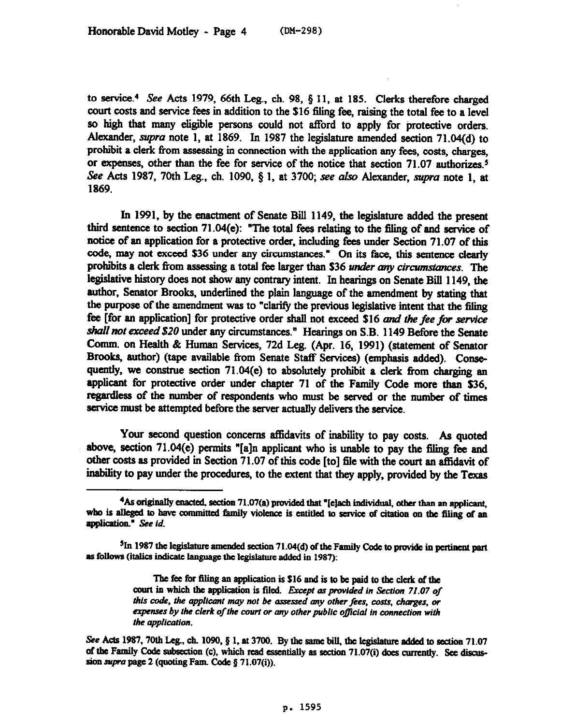to service.<sup>4</sup> See Acts 1979, 66th Leg., ch. 98,  $\S$  11, at 185. Clerks therefore charged court costs and service fees in addition to the \$16 filing fee, raising the total fee to a level so high that many eligible persons could not afford to apply for protective orders. Alexander, supra note 1, at 1869. In 1987 the legislature amended section 71.04(d) to prohibit a clerk from assessing in connection with the application any fees, costs, charges, or expenses, other than the fee for service of the notice that section 71.07 authorizes.<sup>5</sup> See Acts 1987, 70th Leg., ch. 1090, § 1, at 3700; see also Alexander, *supra* note 1, at 1869.

In 1991, by the enactment of Senate Bill 1149, the legislature added the present third sentence to section 71.04(e): "The total fees relating to the filing of and service of notice of an application for a protective order, including fees under Section 71.07 of this code, may not exceed S36 under any circumstances." On its face, this sentence clearly prohibits a clerk from assessing a total fee larger than \$36 *under any circumstances*. The legislative history does not show any contrary intent. In hearings on Senate Bill 1149, the author, Senator Brooks, underlined the plain language of the amendment by stating that the purpose of the amendment was to "clarify the previous legislative intent that the filing fee [for an application] for protective order shah not exceed S16 and rhe *fee for service shall not exceed \$20* under any circumstances." Hearings on S.B. 1149 Before the Senate Comm. on Health & Human Services, 72d Leg. (Apr. 16, 1991) (statement of Senator Brooka, author) (tape available from Senate Staff Services) (emphasis added). Consequently, we construe section  $71.04(e)$  to absolutely prohibit a clerk from charging an applicant for protective order under chapter 71 of the Family Code more than \$36, regardless of the number of respondents who must be served or the number of times service must be attempted before the server actually delivers the service.

Your second question concerns affidavits of inability to pay costs. As quoted above, section 71.04(e) permits "[a]n applicant who is unable to pay the filing fee and other costs as provided in Section 71.07 of this code [to] file with the court an affidavit of inability to pay under the procedures, to the extent that they apply, provided by the Texas

<sup>&</sup>lt;sup>4</sup>As originally enacted, section 71.07(a) provided that "[e]ach individual, other than an applicant, who is alleged to have committed family violence is entitled to service of citation on the filing of an application." See id.

<sup>&</sup>lt;sup>5</sup>In 1987 the legislature amended section 71.04(d) of the Family Code to provide in pertinent part as follows (italics indicate language the legislature added in 1987):

The fee for filing an application is \$16 and is to be paid to the clerk of the court in which the application is filed. *Except as provided in Section 71.07 of* this code, the applicant may not be assessed any other fees, costs, charges, or *expenses by the clerk of the court or my other public oflcial in connection with the opplicotion.* 

See Acts 1987, 70th Leg., ch. 1090, § 1, at 3700. By the same bill, the legislature added to section 71.07 of the Family Code subsection (c), which read essentially as section 71.07(i) does currently. See discussion supra page 2 (quoting Fam. Code  $\S 71.07(i)$ ).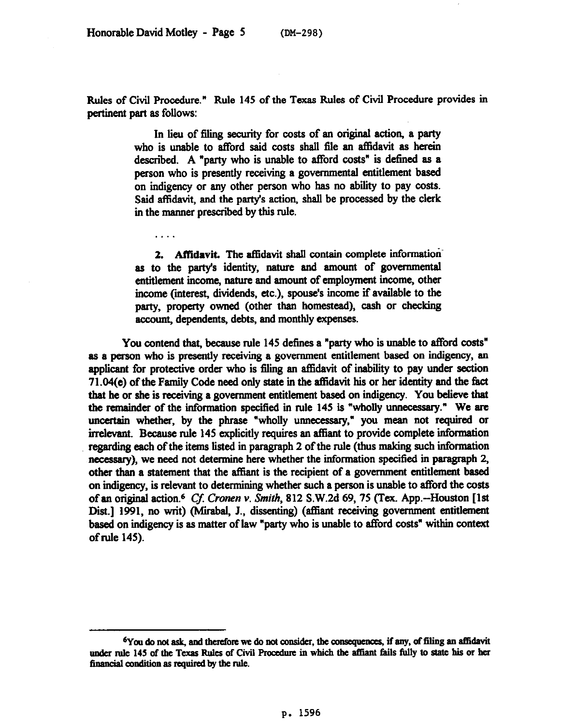. . . .

Rules of Civil Procedure." Rule 145 of the Texas Rules of Civil Procedure provides in pertinent part as follows:

> In lieu of filing security for costs of an original action, a party who is unable to afford said costs shall file an affidavit as herein described. A "party who is unable to afford costs" is defined as a person who is presently receiving a govermnental entitlement baaed on indigency or any other person who has no ability to pay costs. Said affidavit, and the party's action, shall be processed by the clerk in the manner prescribed by this rule.

> **2. Affidavit** The affidavit shall contain complete informationas to the party's identity, nature and amount of govermnental entitlement income, nature and amount of employment income, other income (interest, dividends, etc.), spouse's income if available to the party, property owned (other than homestead), cash or checking account, dependents, debts, and monthly expenses.

You contend that, because rule 145 defines a "party who is unable to afford costs" as a person who is presently receiving a government entitlement based on indigency, an applicant for protective order who is filing an affidavit of inability to pay under section 71.04(e) of the Family Code need only state in the atlidavit his or her identity and the fact that he or she is receiving a government entitlement based on indigency. You believe that the remainder of the information specified in rule 145 is "wholly unnecessary." We are uncertain whether, by the phrase "wholly unnecessary," you mean not required or irrelevant. Because rule 145 explicitly requires an aftiant to provide complete information regarding each of the items listed in paragraph 2 of the rule (thus making such information necessary), we need not determine here whether the information specified in paragraph 2, other than a statement that the affiant is the recipient of a government entitlement based on indigency, is relevant to determining whether such a person is unable to afford the costs of an original action.6 Cj *Cronen* v. *Smith,* 812 S.W.2d 69,75 ('Tex. App.-Houston [lst Dist.] 1991, no writ) (Mirabal, J., dissenting) (affiant receiving government entitlement based on indigency is as matter of law "party who is unable to afford costs" within context of rule 145).

<sup>&</sup>lt;sup>6</sup>You do not ask, and therefore we do not consider, the consequences, if any, of filing an affidavit under rule 145 of the Texas Rules of Civil Procedure in which the affiant fails fully to state his or her financial condition as required by the rule.